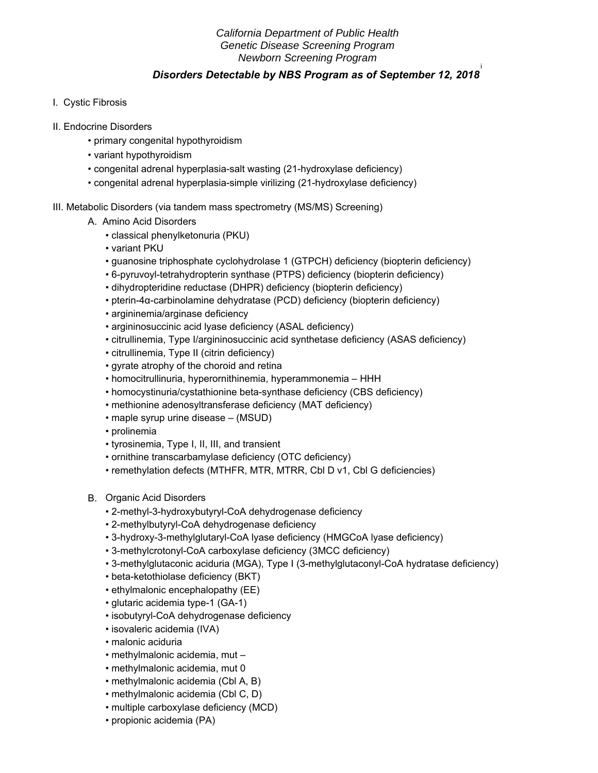# *California Department of Public Health Genetic Disease Screening Program Newborn Screening Program*

## **Disorders Detectable by NBS Program as of September 12, 2018**

- I. Cystic Fibrosis
- II. Endocrine Disorders
	- primary congenital hypothyroidism
	- variant hypothyroidism
	- congenital adrenal hyperplasia-salt wasting (21-hydroxylase deficiency)
	- congenital adrenal hyperplasia-simple virilizing (21-hydroxylase deficiency)
- III. Metabolic Disorders (via tandem mass spectrometry (MS/MS) Screening)
	- A. Amino Acid Disorders
		- classical phenylketonuria (PKU)
		- variant PKU
		- guanosine triphosphate cyclohydrolase 1 (GTPCH) deficiency (biopterin deficiency)
		- 6-pyruvoyl-tetrahydropterin synthase (PTPS) deficiency (biopterin deficiency)
		- dihydropteridine reductase (DHPR) deficiency (biopterin deficiency)
		- pterin-4α-carbinolamine dehydratase (PCD) deficiency (biopterin deficiency)
		- argininemia/arginase deficiency
		- argininosuccinic acid lyase deficiency (ASAL deficiency)
		- citrullinemia, Type I/argininosuccinic acid synthetase deficiency (ASAS deficiency)
		- citrullinemia, Type II (citrin deficiency)
		- gyrate atrophy of the choroid and retina
		- homocitrullinuria, hyperornithinemia, hyperammonemia HHH
		- homocystinuria/cystathionine beta-synthase deficiency (CBS deficiency)
		- methionine adenosyltransferase deficiency (MAT deficiency)
		- maple syrup urine disease (MSUD)
		- prolinemia
		- tyrosinemia, Type I, II, III, and transient
		- ornithine transcarbamylase deficiency (OTC deficiency)
		- remethylation defects (MTHFR, MTR, MTRR, Cbl D v1, Cbl G deficiencies)
	- B. Organic Acid Disorders
		- 2-methyl-3-hydroxybutyryl-CoA dehydrogenase deficiency
		- 2-methylbutyryl-CoA dehydrogenase deficiency
		- 3-hydroxy-3-methylglutaryl-CoA lyase deficiency (HMGCoA lyase deficiency)
		- 3-methylcrotonyl-CoA carboxylase deficiency (3MCC deficiency)
		- 3-methylglutaconic aciduria (MGA), Type I (3-methylglutaconyl-CoA hydratase deficiency)
		- beta-ketothiolase deficiency (BKT)
		- ethylmalonic encephalopathy (EE)
		- glutaric acidemia type-1 (GA-1)
		- isobutyryl-CoA dehydrogenase deficiency
		- isovaleric acidemia (IVA)
		- malonic aciduria
		- methylmalonic acidemia, mut –
		- methylmalonic acidemia, mut 0
		- methylmalonic acidemia (Cbl A, B)
		- methylmalonic acidemia (Cbl C, D)
		- multiple carboxylase deficiency (MCD)
		- propionic acidemia (PA)